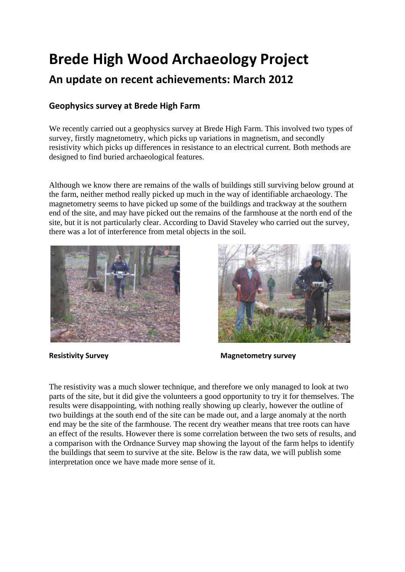# **Brede High Wood Archaeology Project An update on recent achievements: March 2012**

# **Geophysics survey at Brede High Farm**

We recently carried out a geophysics survey at Brede High Farm. This involved two types of survey, firstly magnetometry, which picks up variations in magnetism, and secondly resistivity which picks up differences in resistance to an electrical current. Both methods are designed to find buried archaeological features.

Although we know there are remains of the walls of buildings still surviving below ground at the farm, neither method really picked up much in the way of identifiable archaeology. The magnetometry seems to have picked up some of the buildings and trackway at the southern end of the site, and may have picked out the remains of the farmhouse at the north end of the site, but it is not particularly clear. According to David Staveley who carried out the survey, there was a lot of interference from metal objects in the soil.





**Resistivity Survey**<br> **Resistivity Survey** 

The resistivity was a much slower technique, and therefore we only managed to look at two parts of the site, but it did give the volunteers a good opportunity to try it for themselves. The results were disappointing, with nothing really showing up clearly, however the outline of two buildings at the south end of the site can be made out, and a large anomaly at the north end may be the site of the farmhouse. The recent dry weather means that tree roots can have an effect of the results. However there is some correlation between the two sets of results, and a comparison with the Ordnance Survey map showing the layout of the farm helps to identify the buildings that seem to survive at the site. Below is the raw data, we will publish some interpretation once we have made more sense of it.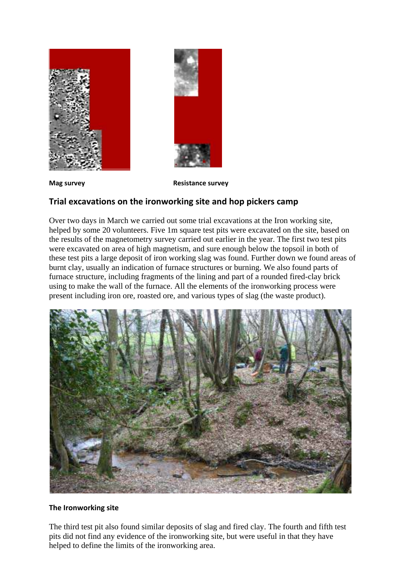



**Mag survey Resistance survey**

## **Trial excavations on the ironworking site and hop pickers camp**

Over two days in March we carried out some trial excavations at the Iron working site, helped by some 20 volunteers. Five 1m square test pits were excavated on the site, based on the results of the magnetometry survey carried out earlier in the year. The first two test pits were excavated on area of high magnetism, and sure enough below the topsoil in both of these test pits a large deposit of iron working slag was found. Further down we found areas of burnt clay, usually an indication of furnace structures or burning. We also found parts of furnace structure, including fragments of the lining and part of a rounded fired-clay brick using to make the wall of the furnace. All the elements of the ironworking process were present including iron ore, roasted ore, and various types of slag (the waste product).



#### **The Ironworking site**

The third test pit also found similar deposits of slag and fired clay. The fourth and fifth test pits did not find any evidence of the ironworking site, but were useful in that they have helped to define the limits of the ironworking area.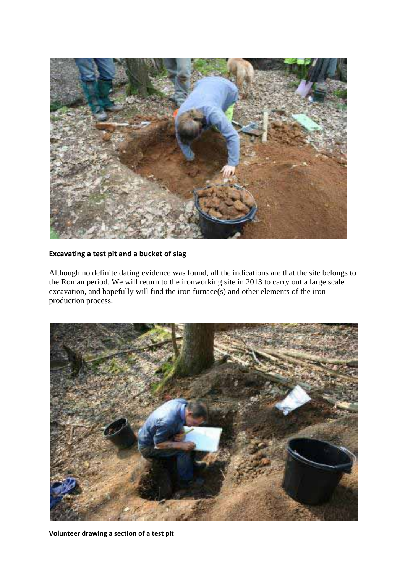

#### **Excavating a test pit and a bucket of slag**

Although no definite dating evidence was found, all the indications are that the site belongs to the Roman period. We will return to the ironworking site in 2013 to carry out a large scale excavation, and hopefully will find the iron furnace(s) and other elements of the iron production process.



**Volunteer drawing a section of a test pit**